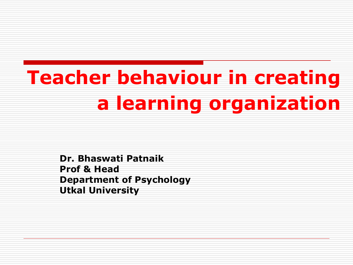# **Teacher behaviour in creating a learning organization**

**Dr. Bhaswati Patnaik Prof & Head Department of Psychology Utkal University**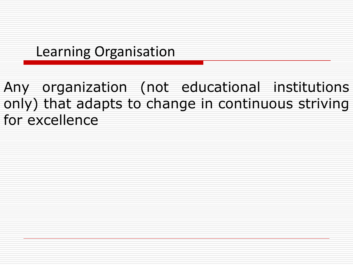#### Learning Organisation

Any organization (not educational institutions only) that adapts to change in continuous striving for excellence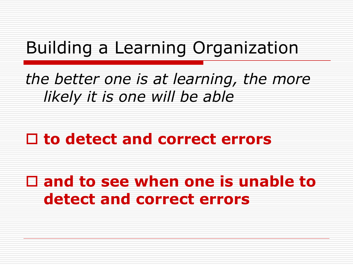### Building a Learning Organization

*the better one is at learning, the more likely it is one will be able* 

### □ to detect and correct errors

 **and to see when one is unable to detect and correct errors**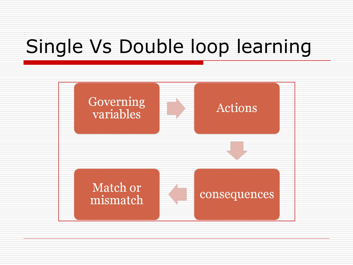## Single Vs Double loop learning

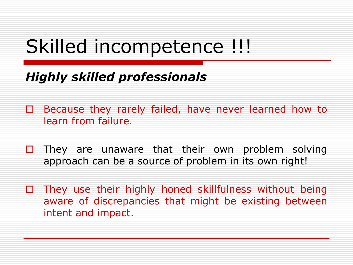### Skilled incompetence !!!

#### *Highly skilled professionals*

- □ Because they rarely failed, have never learned how to learn from failure.
- $\Box$  They are unaware that their own problem solving approach can be a source of problem in its own right!
- $\Box$  They use their highly honed skillfulness without being aware of discrepancies that might be existing between intent and impact.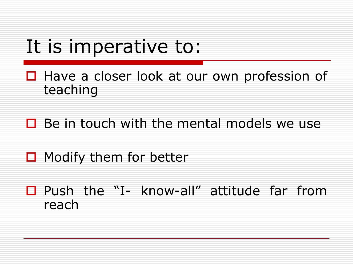### It is imperative to:

- □ Have a closer look at our own profession of teaching
- $\Box$  Be in touch with the mental models we use
- $\Box$  Modify them for better
- □ Push the "I- know-all" attitude far from reach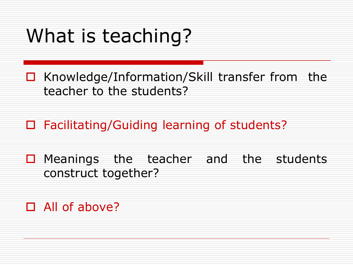## What is teaching?

- $\Box$  Knowledge/Information/Skill transfer from the teacher to the students?
- □ Facilitating/Guiding learning of students?
- $\Box$  Meanings the teacher and the students construct together?
- □ All of above?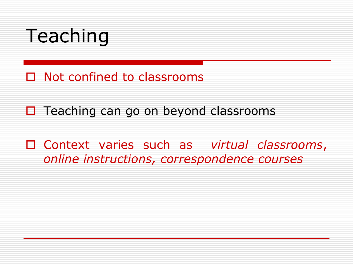## Teaching

- □ Not confined to classrooms
- $\Box$  Teaching can go on beyond classrooms
- Context varies such as *virtual classrooms*, *online instructions, correspondence courses*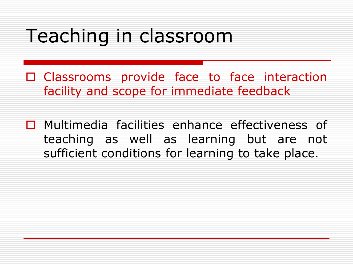## Teaching in classroom

- □ Classrooms provide face to face interaction facility and scope for immediate feedback
- □ Multimedia facilities enhance effectiveness of teaching as well as learning but are not sufficient conditions for learning to take place.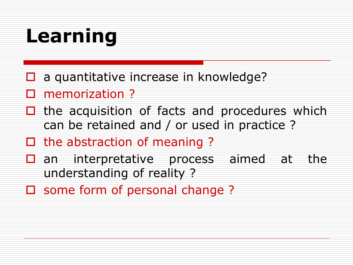## **Learning**

- $\Box$  a quantitative increase in knowledge?
- memorization ?
- $\Box$  the acquisition of facts and procedures which can be retained and / or used in practice ?
- $\Box$  the abstraction of meaning ?
- $\square$  an interpretative process aimed at the understanding of reality ?
- $\square$  some form of personal change ?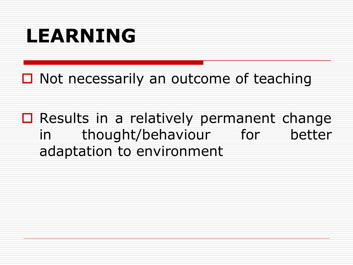## **LEARNING**

 $\Box$  Not necessarily an outcome of teaching

 $\square$  Results in a relatively permanent change in thought/behaviour for better adaptation to environment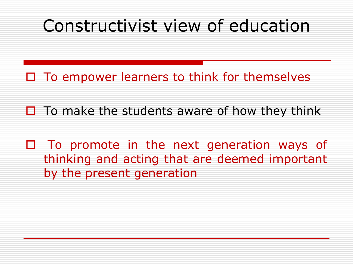### Constructivist view of education

 $\square$  To empower learners to think for themselves

- $\Box$  To make the students aware of how they think
- $\Box$  To promote in the next generation ways of thinking and acting that are deemed important by the present generation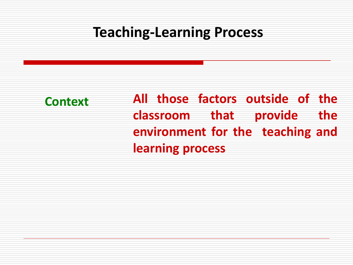**Context All those factors outside of the classroom that provide the environment for the teaching and learning process**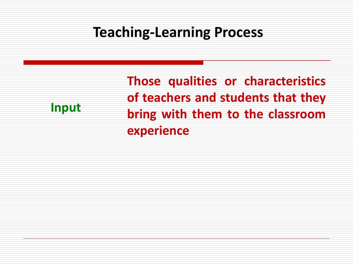**Input**

**Those qualities or characteristics of teachers and students that they bring with them to the classroom experience**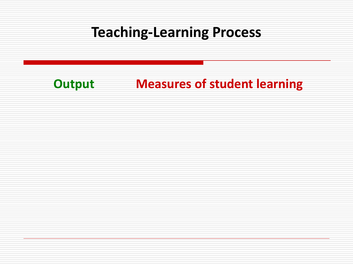#### **Output Measures of student learning**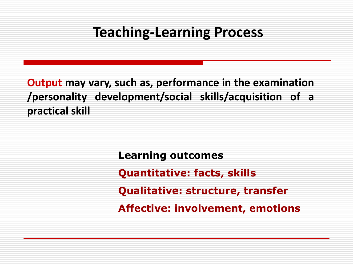**Output may vary, such as, performance in the examination /personality development/social skills/acquisition of a practical skill**

> **Learning outcomes Quantitative: facts, skills Qualitative: structure, transfer Affective: involvement, emotions**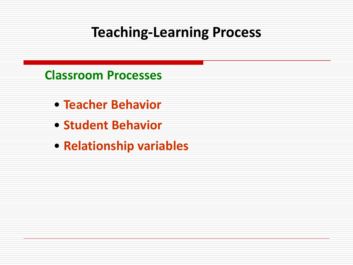**Classroom Processes**

- **Teacher Behavior**
- **Student Behavior**
- **Relationship variables**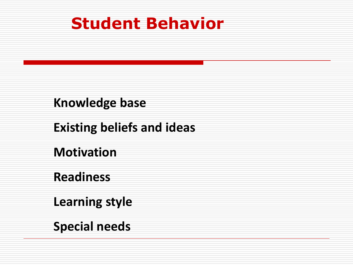### **Student Behavior**

#### **Knowledge base**

#### **Existing beliefs and ideas**

**Motivation** 

#### **Readiness**

**Learning style** 

**Special needs**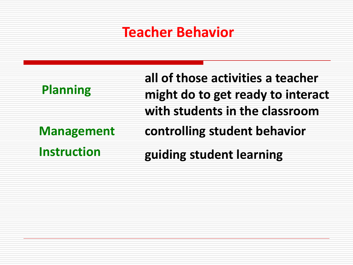#### **Teacher Behavior**

| <b>Planning</b>    | all of those activities a teacher<br>might do to get ready to interact<br>with students in the classroom |
|--------------------|----------------------------------------------------------------------------------------------------------|
| <b>Management</b>  | controlling student behavior                                                                             |
| <b>Instruction</b> | guiding student learning                                                                                 |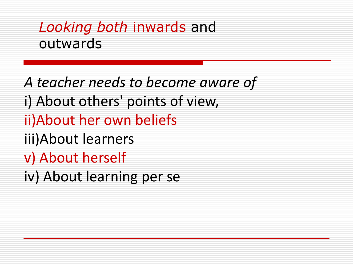#### *Looking both* inwards and outwards

*A teacher needs to become aware of*  i) About others' points of view, ii)About her own beliefs iii)About learners v) About herself iv) About learning per se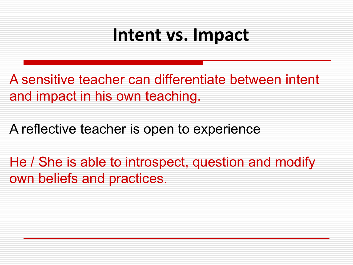### **Intent vs. Impact**

A sensitive teacher can differentiate between intent and impact in his own teaching.

A reflective teacher is open to experience

He / She is able to introspect, question and modify own beliefs and practices.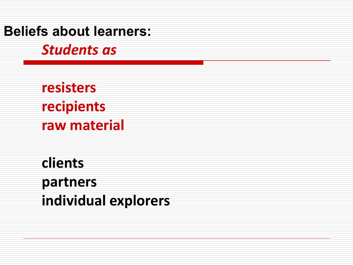**Beliefs about learners:**

*Students as* 

**resisters recipients raw material** 

**clients partners individual explorers**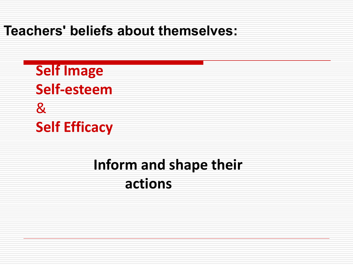**Teachers' beliefs about themselves:**

**Self Image Self-esteem**  & **Self Efficacy** 

### **Inform and shape their actions**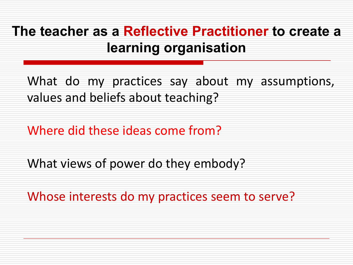#### **The teacher as a Reflective Practitioner to create a learning organisation**

What do my practices say about my assumptions, values and beliefs about teaching?

Where did these ideas come from?

What views of power do they embody?

Whose interests do my practices seem to serve?